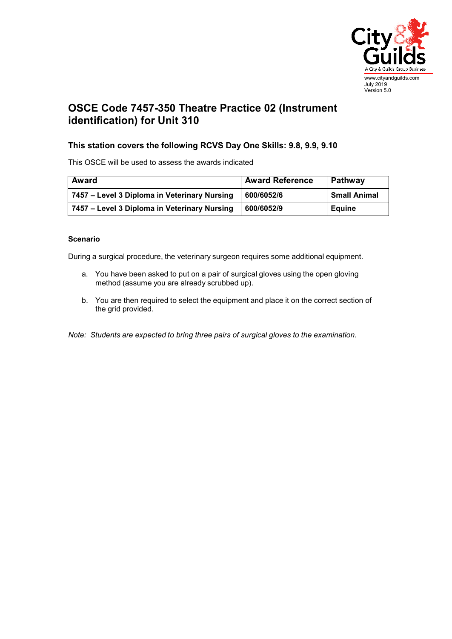

## **OSCE Code 7457-350 Theatre Practice 02 (Instrument identification) for Unit 310**

## **This station covers the following RCVS Day One Skills: 9.8, 9.9, 9.10**

This OSCE will be used to assess the awards indicated

| Award                                        | <b>Award Reference</b> | Pathway             |
|----------------------------------------------|------------------------|---------------------|
| 7457 – Level 3 Diploma in Veterinary Nursing | 600/6052/6             | <b>Small Animal</b> |
| 7457 – Level 3 Diploma in Veterinary Nursing | 600/6052/9             | <b>Equine</b>       |

## **Scenario**

During a surgical procedure, the veterinary surgeon requires some additional equipment.

- a. You have been asked to put on a pair of surgical gloves using the open gloving method (assume you are already scrubbed up).
- b. You are then required to select the equipment and place it on the correct section of the grid provided.

*Note: Students are expected to bring three pairs of surgical gloves to the examination.*